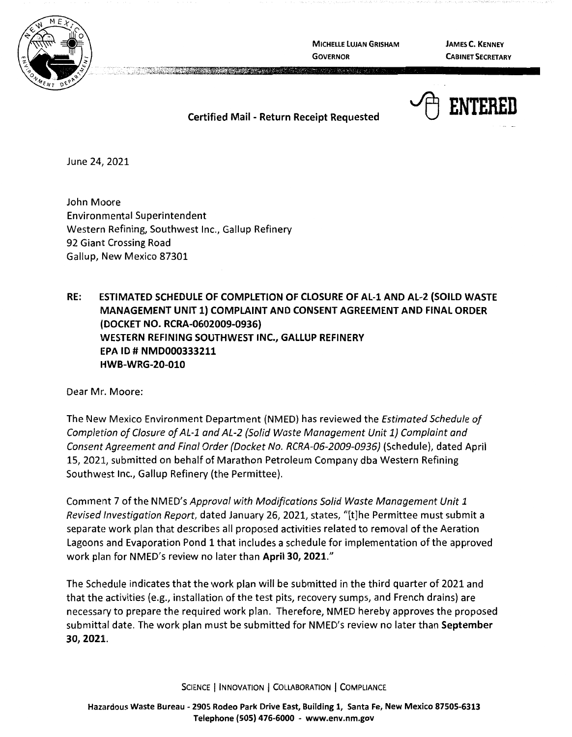

**MICHELLE LUJAN GRISHAM GOVERNOR** 

**JAMES C. KENNEY CABINET SECRETARY** 



**Certified Mail** - **Return Receipt Requested** 

A MARCHAN AND A REPORT OF THE CONTRACTOR

June 24, 2021

John Moore Environmental Superintendent Western Refining, Southwest Inc., Gallup Refinery 92 Giant Crossing Road Gallup, New Mexico 87301

**RE: ESTIMATED SCHEDULE OF COMPLETION OF CLOSURE OF AL-1 AND AL-2 (SOILD WASTE MANAGEMENT UNIT 1) COMPLAINT AND CONSENT AGREEMENT AND FINAL ORDER**  I **DOCKET NO. RCRA-0602009-0936) WESTERN REFINING SOUTHWEST INC., GALLUP REFINERY EPA** ID# **NMD000333211 HWB-WRG-20-010** 

Dear Mr. Moore:

The New Mexico Environment Department (NMED) has reviewed the Estimated Schedule of Completion of Closure of AL-1 and AL-2 {Solid Waste Management Unit 1} Complaint and Consent Agreement and Final Order (Docket No. RCRA-06-2009-0936) (Schedule), dated April 15, 2021, submitted on behalf of Marathon Petroleum Company dba Western Refining Southwest Inc., Gallup Refinery (the Permittee).

Comment 7 of the NMED's Approval with Modifications Solid Waste Management Unit 1 Revised Investigation Report, dated January 26, 2021, states, "[t]he Permittee must submit a separate work plan that describes all proposed activities related to removal of the Aeration Lagoons and Evaporation Pond 1 that includes a schedule for implementation of the approved work plan for NMED's review no later than **April 30, 2021."** 

The Schedule indicates that the work plan will be submitted in the third quarter of 2021 and that the activities (e.g., installation of the test pits, recovery sumps, and French drains) are necessary to prepare the required work plan. Therefore, NMED hereby approves the proposed submittal date. The work plan must be submitted for NMED's review no later than **September 30, 2021.** 

SCIENCE | INNOVATION | COLLABORATION | COMPLIANCE